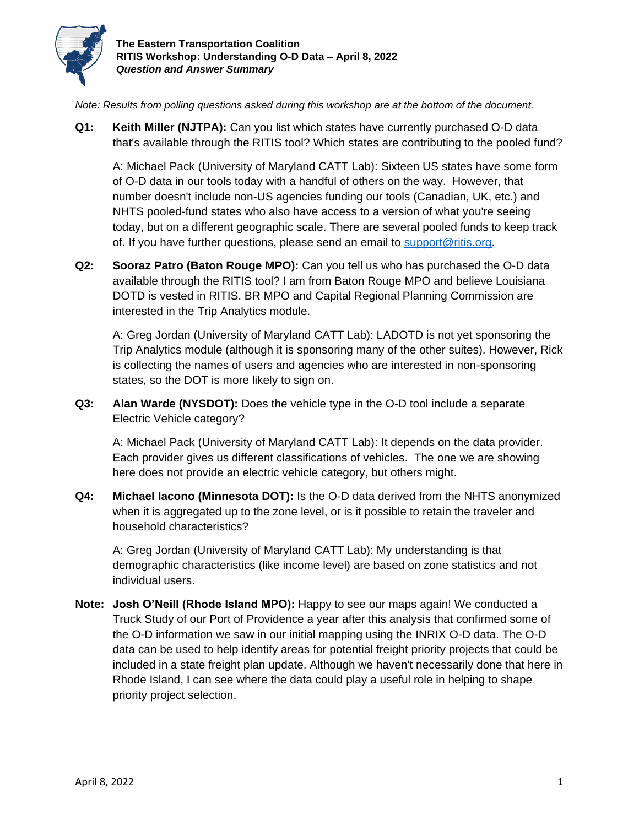

*Note: Results from polling questions asked during this workshop are at the bottom of the document.*

**Q1: Keith Miller (NJTPA):** Can you list which states have currently purchased O-D data that's available through the RITIS tool? Which states are contributing to the pooled fund?

A: Michael Pack (University of Maryland CATT Lab): Sixteen US states have some form of O-D data in our tools today with a handful of others on the way. However, that number doesn't include non-US agencies funding our tools (Canadian, UK, etc.) and NHTS pooled-fund states who also have access to a version of what you're seeing today, but on a different geographic scale. There are several pooled funds to keep track of. If you have further questions, please send an email to [support@ritis.org.](mailto:support@ritis.org)

**Q2: Sooraz Patro (Baton Rouge MPO):** Can you tell us who has purchased the O-D data available through the RITIS tool? I am from Baton Rouge MPO and believe Louisiana DOTD is vested in RITIS. BR MPO and Capital Regional Planning Commission are interested in the Trip Analytics module.

A: Greg Jordan (University of Maryland CATT Lab): LADOTD is not yet sponsoring the Trip Analytics module (although it is sponsoring many of the other suites). However, Rick is collecting the names of users and agencies who are interested in non-sponsoring states, so the DOT is more likely to sign on.

**Q3: Alan Warde (NYSDOT):** Does the vehicle type in the O-D tool include a separate Electric Vehicle category?

A: Michael Pack (University of Maryland CATT Lab): It depends on the data provider. Each provider gives us different classifications of vehicles. The one we are showing here does not provide an electric vehicle category, but others might.

**Q4: Michael Iacono (Minnesota DOT):** Is the O-D data derived from the NHTS anonymized when it is aggregated up to the zone level, or is it possible to retain the traveler and household characteristics?

A: Greg Jordan (University of Maryland CATT Lab): My understanding is that demographic characteristics (like income level) are based on zone statistics and not individual users.

**Note: Josh O'Neill (Rhode Island MPO):** Happy to see our maps again! We conducted a Truck Study of our Port of Providence a year after this analysis that confirmed some of the O-D information we saw in our initial mapping using the INRIX O-D data. The O-D data can be used to help identify areas for potential freight priority projects that could be included in a state freight plan update. Although we haven't necessarily done that here in Rhode Island, I can see where the data could play a useful role in helping to shape priority project selection.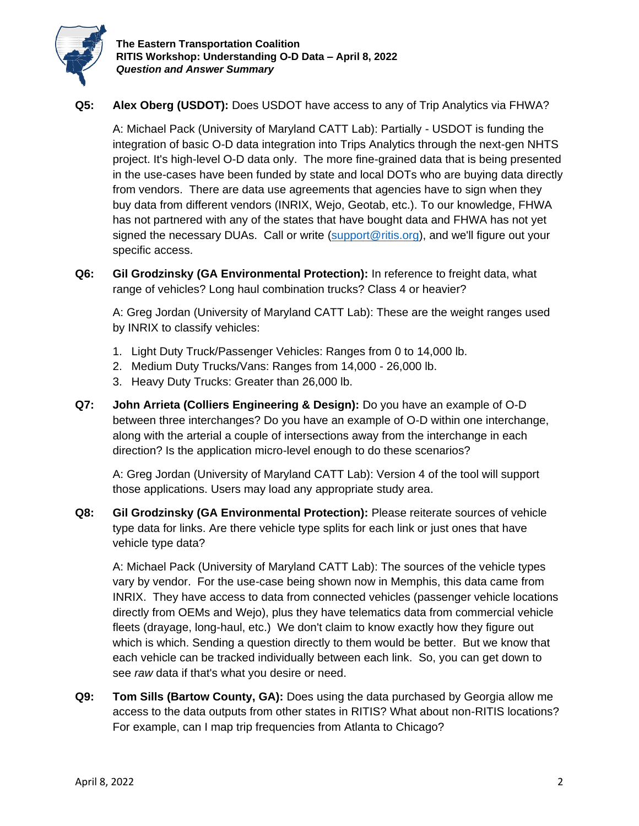

## **Q5: Alex Oberg (USDOT):** Does USDOT have access to any of Trip Analytics via FHWA?

A: Michael Pack (University of Maryland CATT Lab): Partially - USDOT is funding the integration of basic O-D data integration into Trips Analytics through the next-gen NHTS project. It's high-level O-D data only. The more fine-grained data that is being presented in the use-cases have been funded by state and local DOTs who are buying data directly from vendors. There are data use agreements that agencies have to sign when they buy data from different vendors (INRIX, Wejo, Geotab, etc.). To our knowledge, FHWA has not partnered with any of the states that have bought data and FHWA has not yet signed the necessary DUAs. Call or write [\(support@ritis.org\)](mailto:support@ritis.org), and we'll figure out your specific access.

**Q6: Gil Grodzinsky (GA Environmental Protection):** In reference to freight data, what range of vehicles? Long haul combination trucks? Class 4 or heavier?

A: Greg Jordan (University of Maryland CATT Lab): These are the weight ranges used by INRIX to classify vehicles:

- 1. Light Duty Truck/Passenger Vehicles: Ranges from 0 to 14,000 lb.
- 2. Medium Duty Trucks/Vans: Ranges from 14,000 26,000 lb.
- 3. Heavy Duty Trucks: Greater than 26,000 lb.
- **Q7: John Arrieta (Colliers Engineering & Design):** Do you have an example of O-D between three interchanges? Do you have an example of O-D within one interchange, along with the arterial a couple of intersections away from the interchange in each direction? Is the application micro-level enough to do these scenarios?

A: Greg Jordan (University of Maryland CATT Lab): Version 4 of the tool will support those applications. Users may load any appropriate study area.

**Q8: Gil Grodzinsky (GA Environmental Protection):** Please reiterate sources of vehicle type data for links. Are there vehicle type splits for each link or just ones that have vehicle type data?

A: Michael Pack (University of Maryland CATT Lab): The sources of the vehicle types vary by vendor. For the use-case being shown now in Memphis, this data came from INRIX. They have access to data from connected vehicles (passenger vehicle locations directly from OEMs and Wejo), plus they have telematics data from commercial vehicle fleets (drayage, long-haul, etc.) We don't claim to know exactly how they figure out which is which. Sending a question directly to them would be better. But we know that each vehicle can be tracked individually between each link. So, you can get down to see *raw* data if that's what you desire or need.

**Q9: Tom Sills (Bartow County, GA):** Does using the data purchased by Georgia allow me access to the data outputs from other states in RITIS? What about non-RITIS locations? For example, can I map trip frequencies from Atlanta to Chicago?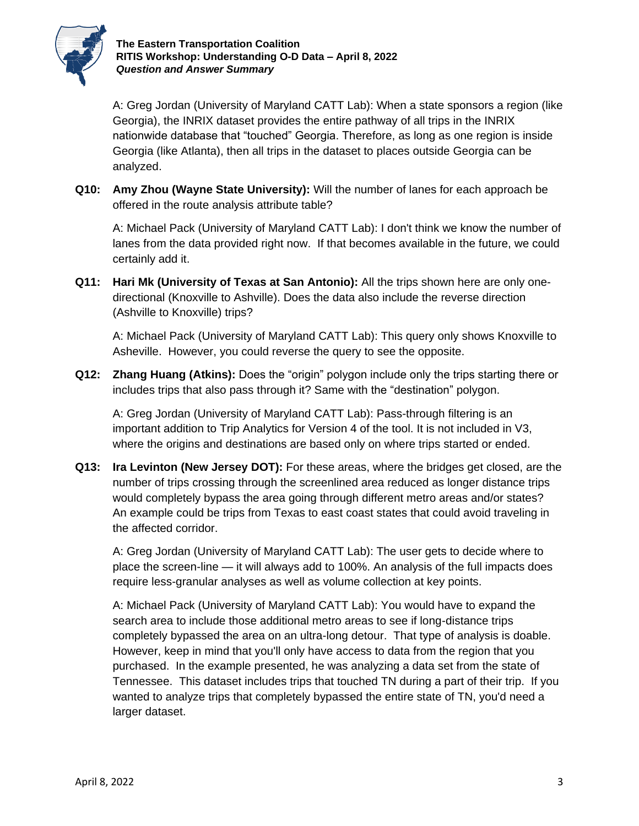

**The Eastern Transportation Coalition RITIS Workshop: Understanding O-D Data – April 8, 2022** *Question and Answer Summary*

A: Greg Jordan (University of Maryland CATT Lab): When a state sponsors a region (like Georgia), the INRIX dataset provides the entire pathway of all trips in the INRIX nationwide database that "touched" Georgia. Therefore, as long as one region is inside Georgia (like Atlanta), then all trips in the dataset to places outside Georgia can be analyzed.

**Q10: Amy Zhou (Wayne State University):** Will the number of lanes for each approach be offered in the route analysis attribute table?

A: Michael Pack (University of Maryland CATT Lab): I don't think we know the number of lanes from the data provided right now. If that becomes available in the future, we could certainly add it.

**Q11: Hari Mk (University of Texas at San Antonio):** All the trips shown here are only onedirectional (Knoxville to Ashville). Does the data also include the reverse direction (Ashville to Knoxville) trips?

A: Michael Pack (University of Maryland CATT Lab): This query only shows Knoxville to Asheville. However, you could reverse the query to see the opposite.

**Q12: Zhang Huang (Atkins):** Does the "origin" polygon include only the trips starting there or includes trips that also pass through it? Same with the "destination" polygon.

A: Greg Jordan (University of Maryland CATT Lab): Pass-through filtering is an important addition to Trip Analytics for Version 4 of the tool. It is not included in V3, where the origins and destinations are based only on where trips started or ended.

**Q13: Ira Levinton (New Jersey DOT):** For these areas, where the bridges get closed, are the number of trips crossing through the screenlined area reduced as longer distance trips would completely bypass the area going through different metro areas and/or states? An example could be trips from Texas to east coast states that could avoid traveling in the affected corridor.

A: Greg Jordan (University of Maryland CATT Lab): The user gets to decide where to place the screen-line — it will always add to 100%. An analysis of the full impacts does require less-granular analyses as well as volume collection at key points.

A: Michael Pack (University of Maryland CATT Lab): You would have to expand the search area to include those additional metro areas to see if long-distance trips completely bypassed the area on an ultra-long detour. That type of analysis is doable. However, keep in mind that you'll only have access to data from the region that you purchased. In the example presented, he was analyzing a data set from the state of Tennessee. This dataset includes trips that touched TN during a part of their trip. If you wanted to analyze trips that completely bypassed the entire state of TN, you'd need a larger dataset.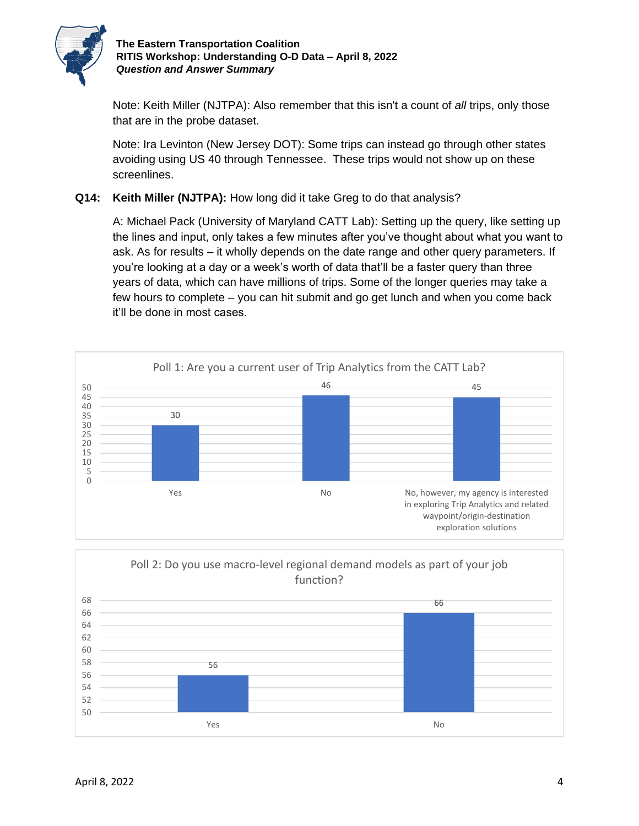

Note: Keith Miller (NJTPA): Also remember that this isn't a count of *all* trips, only those that are in the probe dataset.

Note: Ira Levinton (New Jersey DOT): Some trips can instead go through other states avoiding using US 40 through Tennessee. These trips would not show up on these screenlines.

## **Q14: Keith Miller (NJTPA):** How long did it take Greg to do that analysis?

A: Michael Pack (University of Maryland CATT Lab): Setting up the query, like setting up the lines and input, only takes a few minutes after you've thought about what you want to ask. As for results – it wholly depends on the date range and other query parameters. If you're looking at a day or a week's worth of data that'll be a faster query than three years of data, which can have millions of trips. Some of the longer queries may take a few hours to complete – you can hit submit and go get lunch and when you come back it'll be done in most cases.



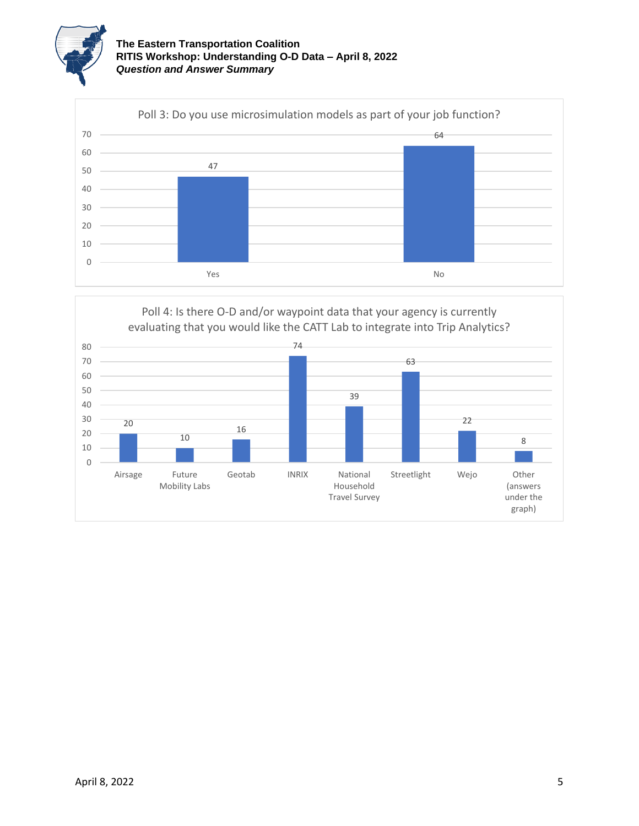



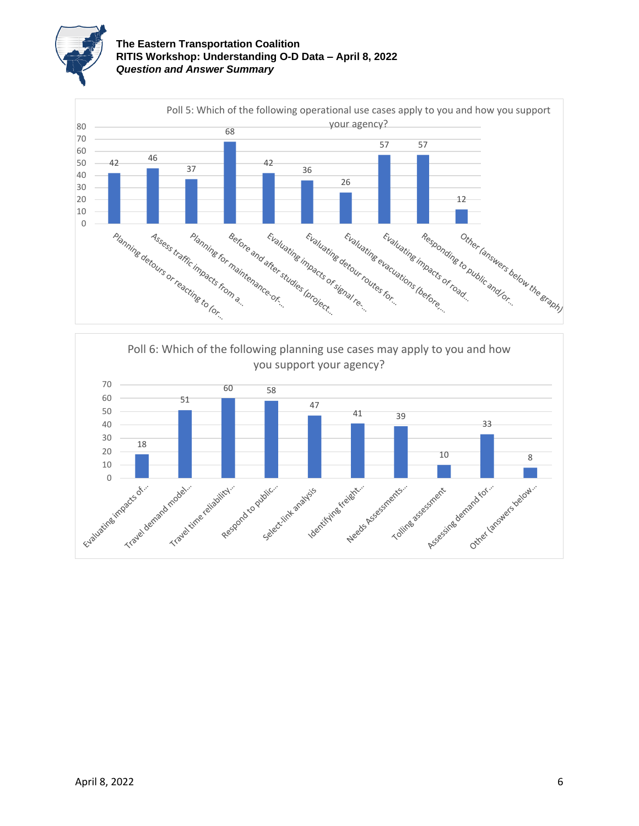

## **The Eastern Transportation Coalition RITIS Workshop: Understanding O-D Data – April 8, 2022** *Question and Answer Summary*